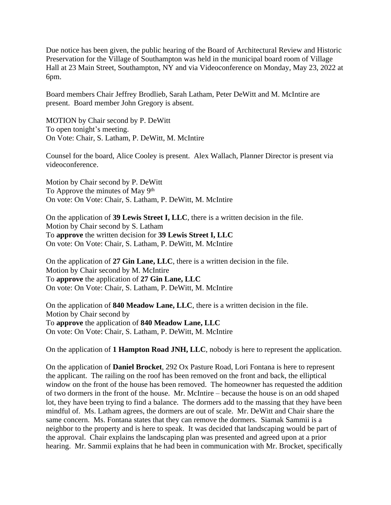Due notice has been given, the public hearing of the Board of Architectural Review and Historic Preservation for the Village of Southampton was held in the municipal board room of Village Hall at 23 Main Street, Southampton, NY and via Videoconference on Monday, May 23, 2022 at 6pm.

Board members Chair Jeffrey Brodlieb, Sarah Latham, Peter DeWitt and M. McIntire are present. Board member John Gregory is absent.

MOTION by Chair second by P. DeWitt To open tonight's meeting. On Vote: Chair, S. Latham, P. DeWitt, M. McIntire

Counsel for the board, Alice Cooley is present. Alex Wallach, Planner Director is present via videoconference.

Motion by Chair second by P. DeWitt To Approve the minutes of May 9th On vote: On Vote: Chair, S. Latham, P. DeWitt, M. McIntire

On the application of **39 Lewis Street I, LLC**, there is a written decision in the file. Motion by Chair second by S. Latham To **approve** the written decision for **39 Lewis Street I, LLC** On vote: On Vote: Chair, S. Latham, P. DeWitt, M. McIntire

On the application of **27 Gin Lane, LLC**, there is a written decision in the file. Motion by Chair second by M. McIntire To **approve** the application of **27 Gin Lane, LLC** On vote: On Vote: Chair, S. Latham, P. DeWitt, M. McIntire

On the application of **840 Meadow Lane, LLC**, there is a written decision in the file. Motion by Chair second by To **approve** the application of **840 Meadow Lane, LLC** On vote: On Vote: Chair, S. Latham, P. DeWitt, M. McIntire

On the application of **1 Hampton Road JNH, LLC**, nobody is here to represent the application.

On the application of **Daniel Brocket**, 292 Ox Pasture Road, Lori Fontana is here to represent the applicant. The railing on the roof has been removed on the front and back, the elliptical window on the front of the house has been removed. The homeowner has requested the addition of two dormers in the front of the house. Mr. McIntire – because the house is on an odd shaped lot, they have been trying to find a balance. The dormers add to the massing that they have been mindful of. Ms. Latham agrees, the dormers are out of scale. Mr. DeWitt and Chair share the same concern. Ms. Fontana states that they can remove the dormers. Siamak Sammii is a neighbor to the property and is here to speak. It was decided that landscaping would be part of the approval. Chair explains the landscaping plan was presented and agreed upon at a prior hearing. Mr. Sammii explains that he had been in communication with Mr. Brocket, specifically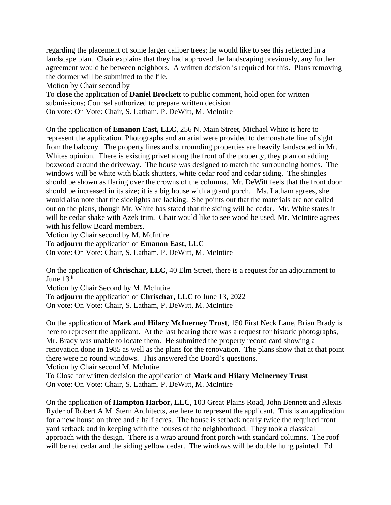regarding the placement of some larger caliper trees; he would like to see this reflected in a landscape plan. Chair explains that they had approved the landscaping previously, any further agreement would be between neighbors. A written decision is required for this. Plans removing the dormer will be submitted to the file.

Motion by Chair second by

To **close** the application of **Daniel Brockett** to public comment, hold open for written submissions; Counsel authorized to prepare written decision On vote: On Vote: Chair, S. Latham, P. DeWitt, M. McIntire

On the application of **Emanon East, LLC**, 256 N. Main Street, Michael White is here to represent the application. Photographs and an arial were provided to demonstrate line of sight from the balcony. The property lines and surrounding properties are heavily landscaped in Mr. Whites opinion. There is existing privet along the front of the property, they plan on adding boxwood around the driveway. The house was designed to match the surrounding homes. The windows will be white with black shutters, white cedar roof and cedar siding. The shingles should be shown as flaring over the crowns of the columns. Mr. DeWitt feels that the front door should be increased in its size; it is a big house with a grand porch. Ms. Latham agrees, she would also note that the sidelights are lacking. She points out that the materials are not called out on the plans, though Mr. White has stated that the siding will be cedar. Mr. White states it will be cedar shake with Azek trim. Chair would like to see wood be used. Mr. McIntire agrees with his fellow Board members.

Motion by Chair second by M. McIntire

To **adjourn** the application of **Emanon East, LLC**

On vote: On Vote: Chair, S. Latham, P. DeWitt, M. McIntire

On the application of **Chrischar, LLC**, 40 Elm Street, there is a request for an adjournment to June 13th Motion by Chair Second by M. McIntire

To **adjourn** the application of **Chrischar, LLC** to June 13, 2022 On vote: On Vote: Chair, S. Latham, P. DeWitt, M. McIntire

On the application of **Mark and Hilary McInerney Trust**, 150 First Neck Lane, Brian Brady is here to represent the applicant. At the last hearing there was a request for historic photographs, Mr. Brady was unable to locate them. He submitted the property record card showing a renovation done in 1985 as well as the plans for the renovation. The plans show that at that point there were no round windows. This answered the Board's questions. Motion by Chair second M. McIntire

To Close for written decision the application of **Mark and Hilary McInerney Trust** On vote: On Vote: Chair, S. Latham, P. DeWitt, M. McIntire

On the application of **Hampton Harbor, LLC**, 103 Great Plains Road, John Bennett and Alexis Ryder of Robert A.M. Stern Architects, are here to represent the applicant. This is an application for a new house on three and a half acres. The house is setback nearly twice the required front yard setback and in keeping with the houses of the neighborhood. They took a classical approach with the design. There is a wrap around front porch with standard columns. The roof will be red cedar and the siding yellow cedar. The windows will be double hung painted. Ed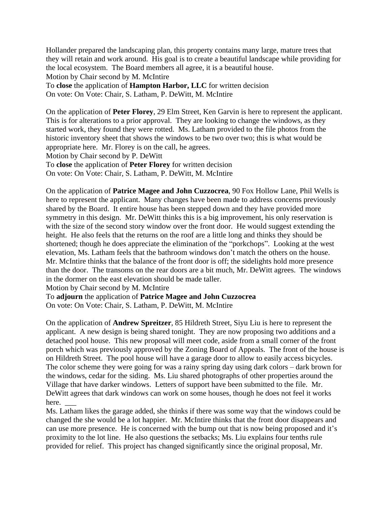Hollander prepared the landscaping plan, this property contains many large, mature trees that they will retain and work around. His goal is to create a beautiful landscape while providing for the local ecosystem. The Board members all agree, it is a beautiful house.

Motion by Chair second by M. McIntire

To **close** the application of **Hampton Harbor, LLC** for written decision

On vote: On Vote: Chair, S. Latham, P. DeWitt, M. McIntire

On the application of **Peter Florey**, 29 Elm Street, Ken Garvin is here to represent the applicant. This is for alterations to a prior approval. They are looking to change the windows, as they started work, they found they were rotted. Ms. Latham provided to the file photos from the historic inventory sheet that shows the windows to be two over two; this is what would be appropriate here. Mr. Florey is on the call, he agrees.

Motion by Chair second by P. DeWitt

To **close** the application of **Peter Florey** for written decision

On vote: On Vote: Chair, S. Latham, P. DeWitt, M. McIntire

On the application of **Patrice Magee and John Cuzzocrea**, 90 Fox Hollow Lane, Phil Wells is here to represent the applicant. Many changes have been made to address concerns previously shared by the Board. It entire house has been stepped down and they have provided more symmetry in this design. Mr. DeWitt thinks this is a big improvement, his only reservation is with the size of the second story window over the front door. He would suggest extending the height. He also feels that the returns on the roof are a little long and thinks they should be shortened; though he does appreciate the elimination of the "porkchops". Looking at the west elevation, Ms. Latham feels that the bathroom windows don't match the others on the house. Mr. McIntire thinks that the balance of the front door is off; the sidelights hold more presence than the door. The transoms on the rear doors are a bit much, Mr. DeWitt agrees. The windows in the dormer on the east elevation should be made taller.

Motion by Chair second by M. McIntire

To **adjourn** the application of **Patrice Magee and John Cuzzocrea**

On vote: On Vote: Chair, S. Latham, P. DeWitt, M. McIntire

On the application of **Andrew Spreitzer**, 85 Hildreth Street, Siyu Liu is here to represent the applicant. A new design is being shared tonight. They are now proposing two additions and a detached pool house. This new proposal will meet code, aside from a small corner of the front porch which was previously approved by the Zoning Board of Appeals. The front of the house is on Hildreth Street. The pool house will have a garage door to allow to easily access bicycles. The color scheme they were going for was a rainy spring day using dark colors – dark brown for the windows, cedar for the siding. Ms. Liu shared photographs of other properties around the Village that have darker windows. Letters of support have been submitted to the file. Mr. DeWitt agrees that dark windows can work on some houses, though he does not feel it works here.

Ms. Latham likes the garage added, she thinks if there was some way that the windows could be changed the she would be a lot happier. Mr. McIntire thinks that the front door disappears and can use more presence. He is concerned with the bump out that is now being proposed and it's proximity to the lot line. He also questions the setbacks; Ms. Liu explains four tenths rule provided for relief. This project has changed significantly since the original proposal, Mr.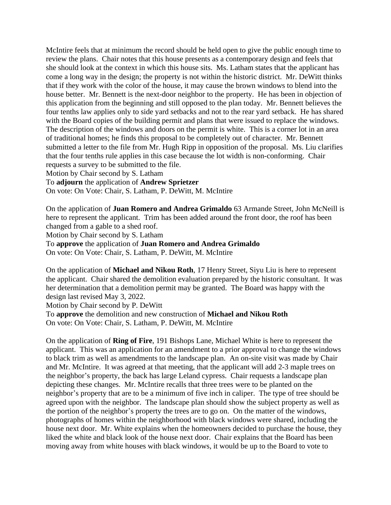McIntire feels that at minimum the record should be held open to give the public enough time to review the plans. Chair notes that this house presents as a contemporary design and feels that she should look at the context in which this house sits. Ms. Latham states that the applicant has come a long way in the design; the property is not within the historic district. Mr. DeWitt thinks that if they work with the color of the house, it may cause the brown windows to blend into the house better. Mr. Bennett is the next-door neighbor to the property. He has been in objection of this application from the beginning and still opposed to the plan today. Mr. Bennett believes the four tenths law applies only to side yard setbacks and not to the rear yard setback. He has shared with the Board copies of the building permit and plans that were issued to replace the windows. The description of the windows and doors on the permit is white. This is a corner lot in an area of traditional homes; he finds this proposal to be completely out of character. Mr. Bennett submitted a letter to the file from Mr. Hugh Ripp in opposition of the proposal. Ms. Liu clarifies that the four tenths rule applies in this case because the lot width is non-conforming. Chair requests a survey to be submitted to the file.

Motion by Chair second by S. Latham

To **adjourn** the application of **Andrew Sprietzer**

On vote: On Vote: Chair, S. Latham, P. DeWitt, M. McIntire

On the application of **Juan Romero and Andrea Grimaldo** 63 Armande Street, John McNeill is here to represent the applicant. Trim has been added around the front door, the roof has been changed from a gable to a shed roof.

Motion by Chair second by S. Latham

To **approve** the application of **Juan Romero and Andrea Grimaldo**

On vote: On Vote: Chair, S. Latham, P. DeWitt, M. McIntire

On the application of **Michael and Nikou Roth**, 17 Henry Street, Siyu Liu is here to represent the applicant. Chair shared the demolition evaluation prepared by the historic consultant. It was her determination that a demolition permit may be granted. The Board was happy with the design last revised May 3, 2022.

Motion by Chair second by P. DeWitt

To **approve** the demolition and new construction of **Michael and Nikou Roth** On vote: On Vote: Chair, S. Latham, P. DeWitt, M. McIntire

On the application of **Ring of Fire**, 191 Bishops Lane, Michael White is here to represent the applicant. This was an application for an amendment to a prior approval to change the windows to black trim as well as amendments to the landscape plan. An on-site visit was made by Chair and Mr. McIntire. It was agreed at that meeting, that the applicant will add 2-3 maple trees on the neighbor's property, the back has large Leland cypress. Chair requests a landscape plan depicting these changes. Mr. McIntire recalls that three trees were to be planted on the neighbor's property that are to be a minimum of five inch in caliper. The type of tree should be agreed upon with the neighbor. The landscape plan should show the subject property as well as the portion of the neighbor's property the trees are to go on. On the matter of the windows, photographs of homes within the neighborhood with black windows were shared, including the house next door. Mr. White explains when the homeowners decided to purchase the house, they liked the white and black look of the house next door. Chair explains that the Board has been moving away from white houses with black windows, it would be up to the Board to vote to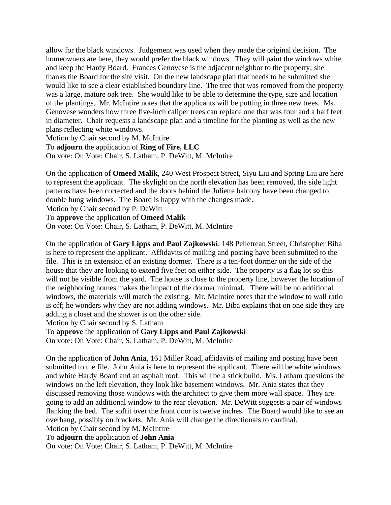allow for the black windows. Judgement was used when they made the original decision. The homeowners are here, they would prefer the black windows. They will paint the windows white and keep the Hardy Board. Frances Genovese is the adjacent neighbor to the property; she thanks the Board for the site visit. On the new landscape plan that needs to be submitted she would like to see a clear established boundary line. The tree that was removed from the property was a large, mature oak tree. She would like to be able to determine the type, size and location of the plantings. Mr. McIntire notes that the applicants will be putting in three new trees. Ms. Genovese wonders how three five-inch caliper trees can replace one that was four and a half feet in diameter. Chair requests a landscape plan and a timeline for the planting as well as the new plans reflecting white windows.

Motion by Chair second by M. McIntire

To **adjourn** the application of **Ring of Fire, LLC**

On vote: On Vote: Chair, S. Latham, P. DeWitt, M. McIntire

On the application of **Omeed Malik**, 240 West Prospect Street, Siyu Liu and Spring Liu are here to represent the applicant. The skylight on the north elevation has been removed, the side light patterns have been corrected and the doors behind the Juliette balcony have been changed to double hung windows. The Board is happy with the changes made.

Motion by Chair second by P. DeWitt

To **approve** the application of **Omeed Malik**

On vote: On Vote: Chair, S. Latham, P. DeWitt, M. McIntire

On the application of **Gary Lipps and Paul Zajkowski**, 148 Pelletreau Street, Christopher Biba is here to represent the applicant. Affidavits of mailing and posting have been submitted to the file. This is an extension of an existing dormer. There is a ten-foot dormer on the side of the house that they are looking to extend five feet on either side. The property is a flag lot so this will not be visible from the yard. The house is close to the property line, however the location of the neighboring homes makes the impact of the dormer minimal. There will be no additional windows, the materials will match the existing. Mr. McIntire notes that the window to wall ratio is off; he wonders why they are not adding windows. Mr. Biba explains that on one side they are adding a closet and the shower is on the other side.

Motion by Chair second by S. Latham

To **approve** the application of **Gary Lipps and Paul Zajkowski**

On vote: On Vote: Chair, S. Latham, P. DeWitt, M. McIntire

On the application of **John Ania**, 161 Miller Road, affidavits of mailing and posting have been submitted to the file. John Ania is here to represent the applicant. There will be white windows and white Hardy Board and an asphalt roof. This will be a stick build. Ms. Latham questions the windows on the left elevation, they look like basement windows. Mr. Ania states that they discussed removing those windows with the architect to give them more wall space. They are going to add an additional window to the rear elevation. Mr. DeWitt suggests a pair of windows flanking the bed. The soffit over the front door is twelve inches. The Board would like to see an overhang, possibly on brackets. Mr. Ania will change the directionals to cardinal. Motion by Chair second by M. McIntire

To **adjourn** the application of **John Ania**

On vote: On Vote: Chair, S. Latham, P. DeWitt, M. McIntire